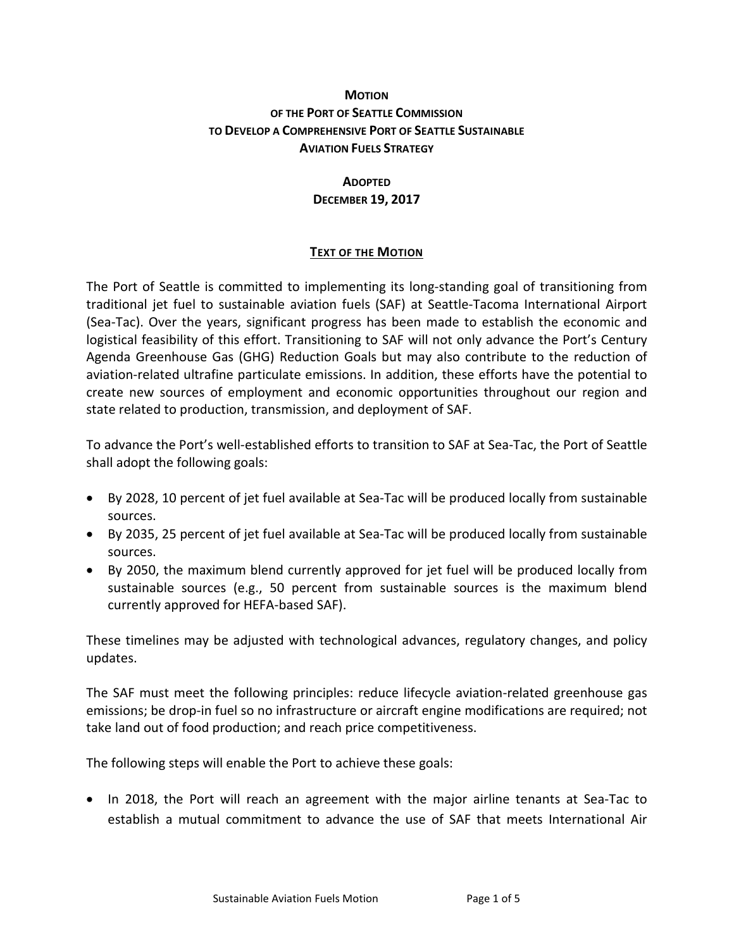## **MOTION OF THE PORT OF SEATTLE COMMISSION TO DEVELOP A COMPREHENSIVE PORT OF SEATTLE SUSTAINABLE AVIATION FUELS STRATEGY**

# **ADOPTED DECEMBER 19, 2017**

## **TEXT OF THE MOTION**

The Port of Seattle is committed to implementing its long-standing goal of transitioning from traditional jet fuel to sustainable aviation fuels (SAF) at Seattle-Tacoma International Airport (Sea-Tac). Over the years, significant progress has been made to establish the economic and logistical feasibility of this effort. Transitioning to SAF will not only advance the Port's Century Agenda Greenhouse Gas (GHG) Reduction Goals but may also contribute to the reduction of aviation-related ultrafine particulate emissions. In addition, these efforts have the potential to create new sources of employment and economic opportunities throughout our region and state related to production, transmission, and deployment of SAF.

To advance the Port's well-established efforts to transition to SAF at Sea-Tac, the Port of Seattle shall adopt the following goals:

- By 2028, 10 percent of jet fuel available at Sea-Tac will be produced locally from sustainable sources.
- By 2035, 25 percent of jet fuel available at Sea-Tac will be produced locally from sustainable sources.
- By 2050, the maximum blend currently approved for jet fuel will be produced locally from sustainable sources (e.g., 50 percent from sustainable sources is the maximum blend currently approved for HEFA-based SAF).

These timelines may be adjusted with technological advances, regulatory changes, and policy updates.

The SAF must meet the following principles: reduce lifecycle aviation-related greenhouse gas emissions; be drop-in fuel so no infrastructure or aircraft engine modifications are required; not take land out of food production; and reach price competitiveness.

The following steps will enable the Port to achieve these goals:

• In 2018, the Port will reach an agreement with the major airline tenants at Sea-Tac to establish a mutual commitment to advance the use of SAF that meets International Air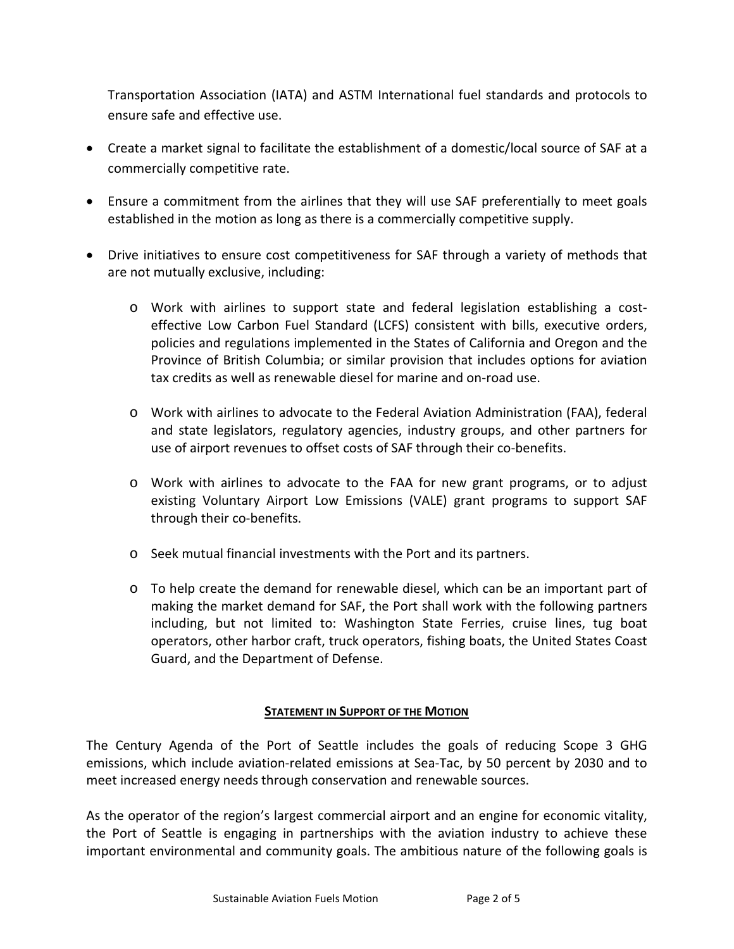Transportation Association (IATA) and ASTM International fuel standards and protocols to ensure safe and effective use.

- Create a market signal to facilitate the establishment of a domestic/local source of SAF at a commercially competitive rate.
- Ensure a commitment from the airlines that they will use SAF preferentially to meet goals established in the motion as long as there is a commercially competitive supply.
- Drive initiatives to ensure cost competitiveness for SAF through a variety of methods that are not mutually exclusive, including:
	- o Work with airlines to support state and federal legislation establishing a costeffective Low Carbon Fuel Standard (LCFS) consistent with bills, executive orders, policies and regulations implemented in the States of California and Oregon and the Province of British Columbia; or similar provision that includes options for aviation tax credits as well as renewable diesel for marine and on-road use.
	- o Work with airlines to advocate to the Federal Aviation Administration (FAA), federal and state legislators, regulatory agencies, industry groups, and other partners for use of airport revenues to offset costs of SAF through their co-benefits.
	- o Work with airlines to advocate to the FAA for new grant programs, or to adjust existing Voluntary Airport Low Emissions (VALE) grant programs to support SAF through their co-benefits.
	- o Seek mutual financial investments with the Port and its partners.
	- o To help create the demand for renewable diesel, which can be an important part of making the market demand for SAF, the Port shall work with the following partners including, but not limited to: Washington State Ferries, cruise lines, tug boat operators, other harbor craft, truck operators, fishing boats, the United States Coast Guard, and the Department of Defense.

### **STATEMENT IN SUPPORT OF THE MOTION**

The Century Agenda of the Port of Seattle includes the goals of reducing Scope 3 GHG emissions, which include aviation-related emissions at Sea-Tac, by 50 percent by 2030 and to meet increased energy needs through conservation and renewable sources.

As the operator of the region's largest commercial airport and an engine for economic vitality, the Port of Seattle is engaging in partnerships with the aviation industry to achieve these important environmental and community goals. The ambitious nature of the following goals is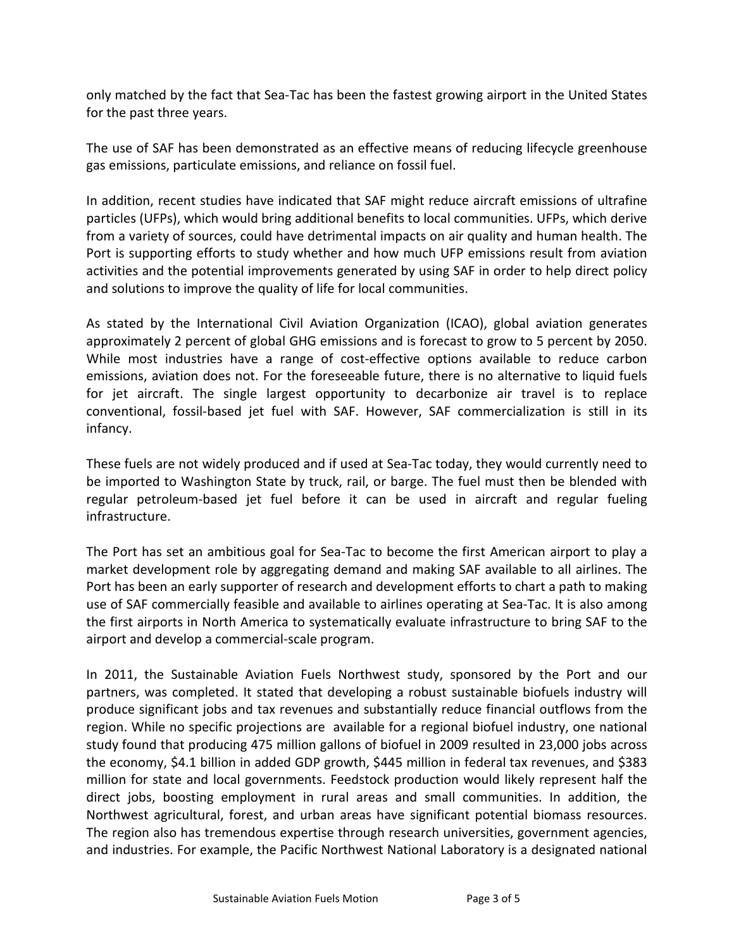only matched by the fact that Sea-Tac has been the fastest growing airport in the United States for the past three years.

The use of SAF has been demonstrated as an effective means of reducing lifecycle greenhouse gas emissions, particulate emissions, and reliance on fossil fuel.

In addition, recent studies have indicated that SAF might reduce aircraft emissions of ultrafine particles (UFPs), which would bring additional benefits to local communities. UFPs, which derive from a variety of sources, could have detrimental impacts on air quality and human health. The Port is supporting efforts to study whether and how much UFP emissions result from aviation activities and the potential improvements generated by using SAF in order to help direct policy and solutions to improve the quality of life for local communities.

As stated by the International Civil Aviation Organization (ICAO), global aviation generates approximately 2 percent of global GHG emissions and is forecast to grow to 5 percent by 2050. While most industries have a range of cost-effective options available to reduce carbon emissions, aviation does not. For the foreseeable future, there is no alternative to liquid fuels for jet aircraft. The single largest opportunity to decarbonize air travel is to replace conventional, fossil-based jet fuel with SAF. However, SAF commercialization is still in its infancy.

These fuels are not widely produced and if used at Sea-Tac today, they would currently need to be imported to Washington State by truck, rail, or barge. The fuel must then be blended with regular petroleum-based jet fuel before it can be used in aircraft and regular fueling infrastructure.

The Port has set an ambitious goal for Sea-Tac to become the first American airport to play a market development role by aggregating demand and making SAF available to all airlines. The Port has been an early supporter of research and development efforts to chart a path to making use of SAF commercially feasible and available to airlines operating at Sea-Tac. It is also among the first airports in North America to systematically evaluate infrastructure to bring SAF to the airport and develop a commercial-scale program.

In 2011, the Sustainable Aviation Fuels Northwest study, sponsored by the Port and our partners, was completed. It stated that developing a robust sustainable biofuels industry will produce significant jobs and tax revenues and substantially reduce financial outflows from the region. While no specific projections are available for a regional biofuel industry, one national study found that producing 475 million gallons of biofuel in 2009 resulted in 23,000 jobs across the economy, \$4.1 billion in added GDP growth, \$445 million in federal tax revenues, and \$383 million for state and local governments. Feedstock production would likely represent half the direct jobs, boosting employment in rural areas and small communities. In addition, the Northwest agricultural, forest, and urban areas have significant potential biomass resources. The region also has tremendous expertise through research universities, government agencies, and industries. For example, the Pacific Northwest National Laboratory is a designated national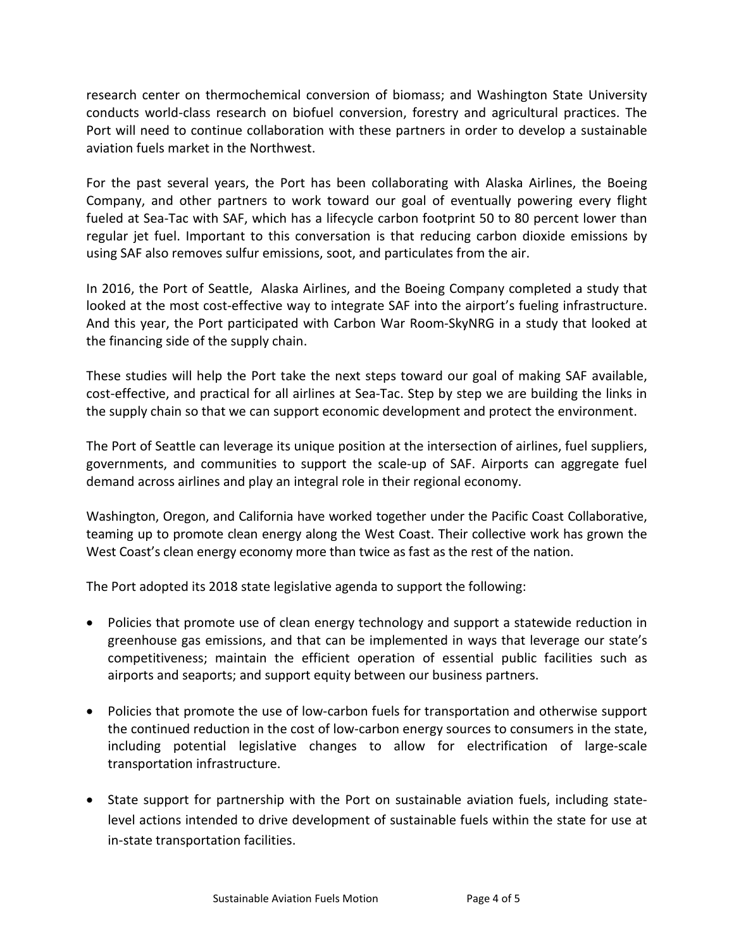research center on thermochemical conversion of biomass; and Washington State University conducts world-class research on biofuel conversion, forestry and agricultural practices. The Port will need to continue collaboration with these partners in order to develop a sustainable aviation fuels market in the Northwest.

For the past several years, the Port has been collaborating with Alaska Airlines, the Boeing Company, and other partners to work toward our goal of eventually powering every flight fueled at Sea-Tac with SAF, which has a lifecycle carbon footprint 50 to 80 percent lower than regular jet fuel. Important to this conversation is that reducing carbon dioxide emissions by using SAF also removes sulfur emissions, soot, and particulates from the air.

In 2016, the Port of Seattle, Alaska Airlines, and the Boeing Company completed a study that looked at the most cost-effective way to integrate SAF into the airport's fueling infrastructure. And this year, the Port participated with Carbon War Room-SkyNRG in a study that looked at the financing side of the supply chain.

These studies will help the Port take the next steps toward our goal of making SAF available, cost-effective, and practical for all airlines at Sea-Tac. Step by step we are building the links in the supply chain so that we can support economic development and protect the environment.

The Port of Seattle can leverage its unique position at the intersection of airlines, fuel suppliers, governments, and communities to support the scale-up of SAF. Airports can aggregate fuel demand across airlines and play an integral role in their regional economy.

Washington, Oregon, and California have worked together under the Pacific Coast Collaborative, teaming up to promote clean energy along the West Coast. Their collective work has grown the West Coast's clean energy economy more than twice as fast as the rest of the nation.

The Port adopted its 2018 state legislative agenda to support the following:

- Policies that promote use of clean energy technology and support a statewide reduction in greenhouse gas emissions, and that can be implemented in ways that leverage our state's competitiveness; maintain the efficient operation of essential public facilities such as airports and seaports; and support equity between our business partners.
- Policies that promote the use of low-carbon fuels for transportation and otherwise support the continued reduction in the cost of low-carbon energy sources to consumers in the state, including potential legislative changes to allow for electrification of large-scale transportation infrastructure.
- State support for partnership with the Port on sustainable aviation fuels, including statelevel actions intended to drive development of sustainable fuels within the state for use at in-state transportation facilities.